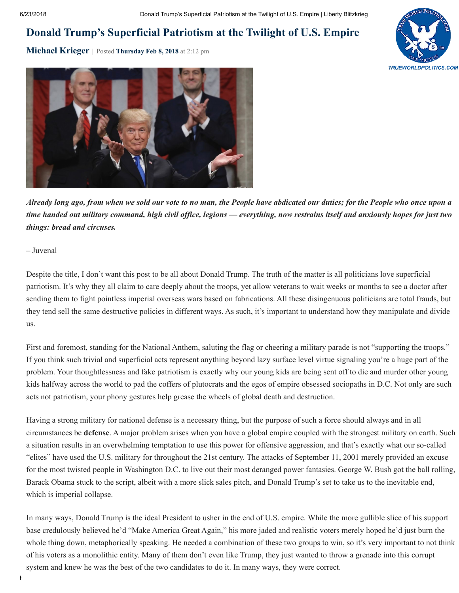# **[Donald Trump's Superficial Patriotism at the Twilight of U.S. Empire](https://libertyblitzkrieg.com/2018/02/08/donald-trumps-superficial-patriotism-at-the-twilight-of-u-s-empire/)**

**[Michael Krieger](https://libertyblitzkrieg.com/author/mkriegs/)** | Posted **Thursday Feb 8, 2018** at 2:12 pm





*Already long ago, from when we sold our vote to no man, the People have abdicated our duties; for the People who once upon a time handed out military command, high civil office, legions — everything, now restrains itself and anxiously hopes for just two things: bread and circuses.*

#### – Juvenal

Despite the title, I don't want this post to be all about Donald Trump. The truth of the matter is all politicians love superficial patriotism. It's why they all claim to care deeply about the troops, yet allow veterans to wait weeks or months to see a doctor after sending them to fight pointless imperial overseas wars based on fabrications. All these disingenuous politicians are total frauds, but they tend sell the same destructive policies in different ways. As such, it's important to understand how they manipulate and divide us.

First and foremost, standing for the National Anthem, saluting the flag or cheering a military parade is not "supporting the troops." If you think such trivial and superficial acts represent anything beyond lazy surface level virtue signaling you're a huge part of the problem. Your thoughtlessness and fake patriotism is exactly why our young kids are being sent off to die and murder other young kids halfway across the world to pad the coffers of plutocrats and the egos of empire obsessed sociopaths in D.C. Not only are such acts not patriotism, your phony gestures help grease the wheels of global death and destruction.

Having a strong military for national defense is a necessary thing, but the purpose of such a force should always and in all circumstances be **defense**. A major problem arises when you have a global empire coupled with the strongest military on earth. Such a situation results in an overwhelming temptation to use this power for offensive aggression, and that's exactly what our so-called "elites" have used the U.S. military for throughout the 21st century. The attacks of September 11, 2001 merely provided an excuse for the most twisted people in Washington D.C. to live out their most deranged power fantasies. George W. Bush got the ball rolling, Barack Obama stuck to the script, albeit with a more slick sales pitch, and Donald Trump's set to take us to the inevitable end, which is imperial collapse.

In many ways, Donald Trump is the ideal President to usher in the end of U.S. empire. While the more gullible slice of his support base credulously believed he'd "Make America Great Again," his more jaded and realistic voters merely hoped he'd just burn the whole thing down, metaphorically speaking. He needed a combination of these two groups to win, so it's very important to not think of his voters as a monolithic entity. Many of them don't even like Trump, they just wanted to throw a grenade into this corrupt system and knew he was the best of the two candidates to do it. In many ways, they were correct.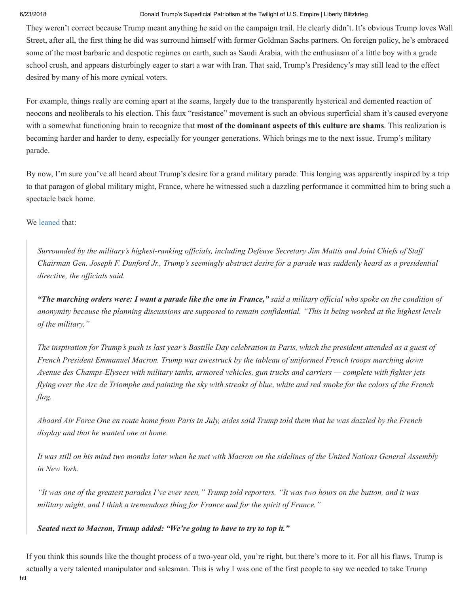#### 6/23/2018 Donald Trump's Superficial Patriotism at the Twilight of U.S. Empire | Liberty Blitzkrieg

They weren't correct because Trump meant anything he said on the campaign trail. He clearly didn't. It's obvious Trump loves Wall Street, after all, the first thing he did was surround himself with former Goldman Sachs partners. On foreign policy, he's embraced some of the most barbaric and despotic regimes on earth, such as Saudi Arabia, with the enthusiasm of a little boy with a grade school crush, and appears disturbingly eager to start a war with Iran. That said, Trump's Presidency's may still lead to the effect desired by many of his more cynical voters.

For example, things really are coming apart at the seams, largely due to the transparently hysterical and demented reaction of neocons and neoliberals to his election. This faux "resistance" movement is such an obvious superficial sham it's caused everyone with a somewhat functioning brain to recognize that **most of the dominant aspects of this culture are shams**. This realization is becoming harder and harder to deny, especially for younger generations. Which brings me to the next issue. Trump's military parade.

By now, I'm sure you've all heard about Trump's desire for a grand military parade. This longing was apparently inspired by a trip to that paragon of global military might, France, where he witnessed such a dazzling performance it committed him to bring such a spectacle back home.

### We [leaned](https://www.washingtonpost.com/politics/trumps-marching-orders-to-the-pentagon-plan-a-grand-military-parade/2018/02/06/9e19ca88-0b55-11e8-8b0d-891602206fb7_story.html) that:

*Surrounded by the military's highest-ranking officials, including Defense Secretary Jim Mattis and Joint Chiefs of Staff Chairman Gen. Joseph F. Dunford Jr., Trump's seemingly abstract desire for a parade was suddenly heard as a presidential directive, the officials said.*

*"The marching orders were: I want a parade like the one in France," said a military official who spoke on the condition of anonymity because the planning discussions are supposed to remain confidential. "This is being worked at the highest levels of the military."*

*The inspiration for Trump's push is last year's Bastille Day celebration in Paris, which the president attended as a guest of French President Emmanuel Macron. Trump was awestruck by the tableau of uniformed French troops marching down Avenue des Champs-Elysees with military tanks, armored vehicles, gun trucks and carriers — complete with fighter jets flying over the Arc de Triomphe and painting the sky with streaks of blue, white and red smoke for the colors of the French flag.*

*Aboard Air Force One en route home from Paris in July, aides said Trump told them that he was dazzled by the French display and that he wanted one at home.*

*It was still on his mind two months later when he met with Macron on the sidelines of the United Nations General Assembly in New York.*

*"It was one of the greatest parades I've ever seen," Trump told reporters. "It was two hours on the button, and it was military might, and I think a tremendous thing for France and for the spirit of France."*

### *Seated next to Macron, Trump added: "We're going to have to try to top it."*

If you think this sounds like the thought process of a two-year old, you're right, but there's more to it. For all his flaws, Trump is actually a very talented manipulator and salesman. This is why I was one of the first people to say we needed to take Trump